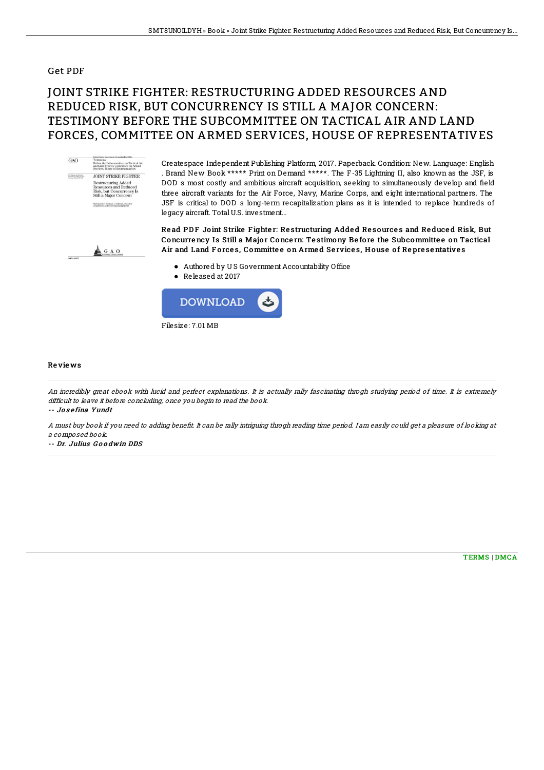## Get PDF

## JOINT STRIKE FIGHTER: RESTRUCTURING ADDED RESOURCES AND REDUCED RISK, BUT CONCURRENCY IS STILL A MAJOR CONCERN: TESTIMONY BEFORE THE SUBCOMMITTEE ON TACTICAL AIR AND LAND FORCES, COMMITTEE ON ARMED SERVICES, HOUSE OF REPRESENTATIVES



Createspace Independent Publishing Platform, 2017. Paperback. Condition: New. Language: English . Brand New Book \*\*\*\*\* Print on Demand \*\*\*\*\*. The F-35 Lightning II, also known as the JSF, is DOD s most costly and ambitious aircraft acquisition, seeking to simultaneously develop and field three aircraft variants for the Air Force, Navy, Marine Corps, and eight international partners. The JSF is critical to DOD s long-term recapitalization plans as it is intended to replace hundreds of legacy aircraft. TotalU.S. investment...



Read PDF Joint Strike Fighter: Restructuring Added Resources and Reduced Risk, But Concurrency Is Still a Major Concern: Testimony Before the Subcommittee on Tactical Air and Land Forces, Committee on Armed Services, House of Representatives

- Authored by U S Government Accountability Office
- Released at 2017



## Re vie ws

An incredibly great ebook with lucid and perfect explanations. It is actually rally fascinating throgh studying period of time. It is extremely difficult to leave it before concluding, once you begin to read the book.

-- Jo s <sup>e</sup> fina Yundt

A must buy book if you need to adding benefit. It can be rally intriguing throgh reading time period. I am easily could get a pleasure of looking at <sup>a</sup> composed book.

-- Dr. Julius G o o dwin DDS